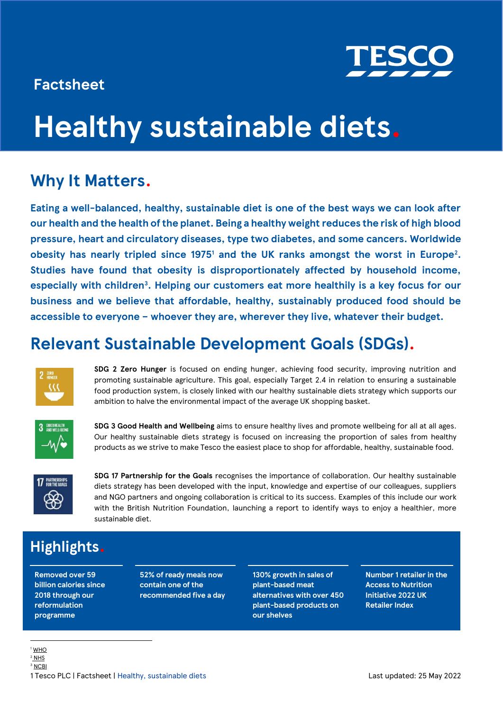### **Factsheet**



# **Healthy sustainable diets.**

### **Why It Matters.**

**Eating a well-balanced, healthy, sustainable diet is one of the best ways we can look after our health and the health of the planet. Being a healthy weight reduces the risk of high blood pressure, heart and circulatory diseases, type two diabetes, and some cancers. Worldwide obesity has nearly tripled since 1975<sup>1</sup> and the UK ranks amongst the worst in Europe<sup>2</sup> . Studies have found that obesity is disproportionately affected by household income, especially with children<sup>3</sup> . Helping our customers eat more healthily is a key focus for our business and we believe that affordable, healthy, sustainably produced food should be accessible to everyone – whoever they are, wherever they live, whatever their budget.**

### **Relevant Sustainable Development Goals (SDGs).**



**SDG 2 Zero Hunger** is focused on ending hunger, achieving food security, improving nutrition and promoting sustainable agriculture. This goal, especially Target 2.4 in relation to ensuring a sustainable food production system, is closely linked with our healthy sustainable diets strategy which supports our ambition to halve the environmental impact of the average UK shopping basket.



**SDG 3 Good Health and Wellbeing** aims to ensure healthy lives and promote wellbeing for all at all ages. Our healthy sustainable diets strategy is focused on increasing the proportion of sales from healthy products as we strive to make Tesco the easiest place to shop for affordable, healthy, sustainable food.



**SDG 17 Partnership for the Goals** recognises the importance of collaboration. Our healthy sustainable diets strategy has been developed with the input, knowledge and expertise of our colleagues, suppliers and NGO partners and ongoing collaboration is critical to its success. Examples of this include our work with the British Nutrition Foundation, launching a report to identify ways to enjoy a healthier, more sustainable diet.

### **Highlights.**

**Removed over 59 billion calories since 2018 through our reformulation programme**

**52% of ready meals now contain one of the recommended five a day**

**130% growth in sales of plant-based meat alternatives with over 450 plant-based products on our shelves**

**Number 1 retailer in the Access to Nutrition Initiative 2022 UK Retailer Index**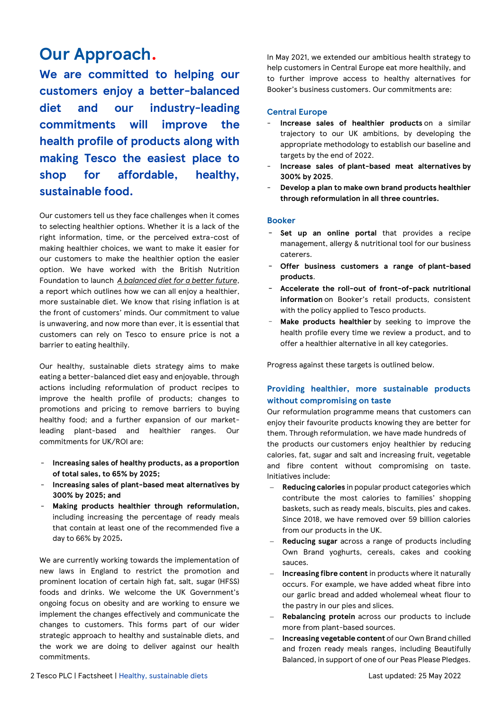### **Our Approach.**

**We are committed to helping our customers enjoy a better-balanced diet and our industry-leading commitments will improve the health profile of products along with making Tesco the easiest place to shop for affordable, healthy, sustainable food.**

Our customers tell us they face challenges when it comes to selecting healthier options. Whether it is a lack of the right information, time, or the perceived extra-cost of making healthier choices, we want to make it easier for our customers to make the healthier option the easier option. We have worked with the British Nutrition Foundation to launch *[A balanced diet for a better future](https://www.tescoplc.com/media/756844/a-balanced-diet-for-a-better-future.pdf)*, a report which outlines how we can all enjoy a healthier, more sustainable diet. We know that rising inflation is at the front of customers' minds. Our commitment to value is unwavering, and now more than ever, it is essential that customers can rely on Tesco to ensure price is not a barrier to eating healthily.

Our healthy, sustainable diets strategy aims to make eating a better-balanced diet easy and enjoyable, through actions including reformulation of product recipes to improve the health profile of products; changes to promotions and pricing to remove barriers to buying healthy food; and a further expansion of our marketleading plant-based and healthier ranges. Our commitments for UK/ROI are:

- **Increasing sales of healthy products, as a proportion of total sales, to 65% by 2025;**
- **Increasing sales of plant-based meat alternatives by 300% by 2025; and**
- **Making products healthier through reformulation,**  including increasing the percentage of ready meals that contain at least one of the recommended five a day to 66% by 2025**.**

We are currently working towards the implementation of new laws in England to restrict the promotion and prominent location of certain high fat, salt, sugar (HFSS) foods and drinks. We welcome the UK Government's ongoing focus on obesity and are working to ensure we implement the changes effectively and communicate the changes to customers. This forms part of our wider strategic approach to healthy and sustainable diets, and the work we are doing to deliver against our health commitments.

In May 2021, we extended our ambitious health strategy to help customers in Central Europe eat more healthily, and to further improve access to healthy alternatives for Booker's business customers. Our commitments are:

### **Central Europe**

- **Increase sales of healthier products** on a similar trajectory to our UK ambitions, by developing the appropriate methodology to establish our baseline and targets by the end of 2022.
- **Increase sales of plant-based meat alternatives by 300% by 2025**.
- **Develop a plan to make own brand products healthier through reformulation in all three countries.**

#### **Booker**

- **Set up an online portal** that provides a recipe management, allergy & nutritional tool for our business caterers.
- **Offer business customers a range of plant-based products**.
- **Accelerate the roll-out of front-of-pack nutritional information** on Booker's retail products, consistent with the policy applied to Tesco products.
- Make products healthier by seeking to improve the health profile every time we review a product, and to offer a healthier alternative in all key categories.

Progress against these targets is outlined below.

### **Providing healthier, more sustainable products without compromising on taste**

Our reformulation programme means that customers can enjoy their favourite products knowing they are better for them. Through reformulation, we have made hundreds of the products our customers enjoy healthier by reducing calories, fat, sugar and salt and increasing fruit, vegetable and fibre content without compromising on taste. Initiatives include:

- − **Reducing calories** in popular product categories which contribute the most calories to families' shopping baskets, such as ready meals, biscuits, pies and cakes. Since 2018, we have removed over 59 billion calories from our products in the UK.
- − **Reducing sugar** across a range of products including Own Brand yoghurts, cereals, cakes and cooking sauces.
- **Increasing fibre content** in products where it naturally occurs. For example, we have added wheat fibre into our garlic bread and added wholemeal wheat flour to the pastry in our pies and slices.
- − **Rebalancing protein** across our products to include more from plant-based sources.
- − **Increasing vegetable content** of our Own Brand chilled and frozen ready meals ranges, including Beautifully Balanced, in support of one of our Peas Please Pledges.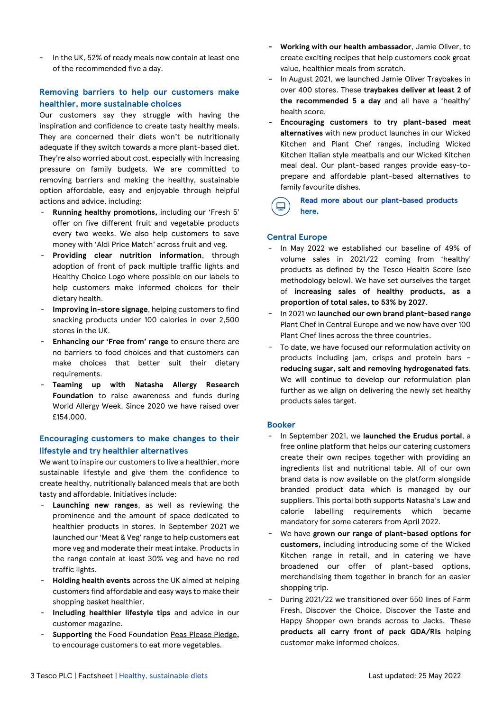In the UK, 52% of ready meals now contain at least one of the recommended five a day.

### **Removing barriers to help our customers make healthier, more sustainable choices**

Our customers say they struggle with having the inspiration and confidence to create tasty healthy meals. They are concerned their diets won't be nutritionally adequate if they switch towards a more plant-based diet. They're also worried about cost, especially with increasing pressure on family budgets. We are committed to removing barriers and making the healthy, sustainable option affordable, easy and enjoyable through helpful actions and advice, including:

- **Running healthy promotions,** including our 'Fresh 5' offer on five different fruit and vegetable products every two weeks. We also help customers to save money with 'Aldi Price Match' across fruit and veg.
- Providing clear nutrition information, through adoption of front of pack multiple traffic lights and Healthy Choice Logo where possible on our labels to help customers make informed choices for their dietary health.
- Improving in-store signage, helping customers to find snacking products under 100 calories in over 2,500 stores in the UK.
- Enhancing our 'Free from' range to ensure there are no barriers to food choices and that customers can make choices that better suit their dietary requirements.
- **Teaming up with Natasha Allergy Research Foundation** to raise awareness and funds during World Allergy Week. Since 2020 we have raised over £154,000.

### **Encouraging customers to make changes to their lifestyle and try healthier alternatives**

We want to inspire our customers to live a healthier, more sustainable lifestyle and give them the confidence to create healthy, nutritionally balanced meals that are both tasty and affordable. Initiatives include:

- Launching new ranges, as well as reviewing the prominence and the amount of space dedicated to healthier products in stores. In September 2021 we launched our 'Meat & Veg' range to help customers eat more veg and moderate their meat intake. Products in the range contain at least 30% veg and have no red traffic lights.
- **Holding health events** across the UK aimed at helping customers find affordable and easy ways to make their shopping basket healthier.
- **Including healthier lifestyle tips** and advice in our customer magazine.
- **Supporting** the Food Foundation [Peas Please Pledge](https://www.tescoplc.com/news/2017/tesco-pledges-to-back-british-farmers-and-help-people-eat-more-healthily/)**,**  to encourage customers to eat more vegetables.
- **- Working with our health ambassador**, Jamie Oliver, to create exciting recipes that help customers cook great value, healthier meals from scratch.
- **-** In August 2021, we launched Jamie Oliver Traybakes in over 400 stores. These **traybakes deliver at least 2 of the recommended 5 a day** and all have a 'healthy' health score.
- **- Encouraging customers to try plant-based meat alternatives** with new product launches in our Wicked Kitchen and Plant Chef ranges, including Wicked Kitchen Italian style meatballs and our Wicked Kitchen meal deal. Our plant-based ranges provide easy-toprepare and affordable plant-based alternatives to family favourite dishes.

#### **Read more about our plant-based products [here.](https://www.tescoplc.com/sustainability/planet/healthy-sustainable-diets/)**

### **Central Europe**

- In May 2022 we established our baseline of 49% of volume sales in 2021/22 coming from 'healthy' products as defined by the Tesco Health Score (see methodology below). We have set ourselves the target of **increasing sales of healthy products, as a proportion of total sales, to 53% by 2027**.
- In 2021 we **launched our own brand plant-based range** Plant Chef in Central Europe and we now have over 100 Plant Chef lines across the three countries.
- To date, we have focused our reformulation activity on products including jam, crisps and protein bars – **reducing sugar, salt and removing hydrogenated fats**. We will continue to develop our reformulation plan further as we align on delivering the newly set healthy products sales target.

#### **Booker**

- In September 2021, we **launched the Erudus portal**, a free online platform that helps our catering customers create their own recipes together with providing an ingredients list and nutritional table. All of our own brand data is now available on the platform alongside branded product data which is managed by our suppliers. This portal both supports Natasha's Law and calorie labelling requirements which became mandatory for some caterers from April 2022.
- We have **grown our range of plant-based options for customers,** including introducing some of the Wicked Kitchen range in retail, and in catering we have broadened our offer of plant-based options, merchandising them together in branch for an easier shopping trip.
- During 2021/22 we transitioned over 550 lines of Farm Fresh, Discover the Choice, Discover the Taste and Happy Shopper own brands across to Jacks. These **products all carry front of pack GDA/RIs** helping customer make informed choices.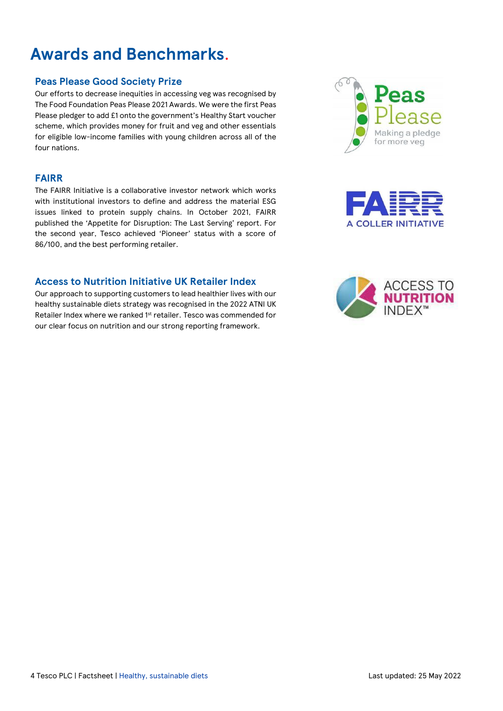### **Awards and Benchmarks**.

### **Peas Please Good Society Prize**

Our efforts to decrease inequities in accessing veg was recognised by The Food Foundation Peas Please 2021 Awards. We were the first Peas Please pledger to add £1 onto the government's Healthy Start voucher scheme, which provides money for fruit and veg and other essentials for eligible low-income families with young children across all of the four nations.

### **FAIRR**

The FAIRR Initiative is a collaborative investor network which works with institutional investors to define and address the material ESG issues linked to protein supply chains. In October 2021, FAIRR published the 'Appetite for Disruption: The Last Serving' report. For the second year, Tesco achieved 'Pioneer' status with a score of 86/100, and the best performing retailer.

### **Access to Nutrition Initiative UK Retailer Index**

Our approach to supporting customers to lead healthier lives with our healthy sustainable diets strategy was recognised in the 2022 ATNI UK Retailer Index where we ranked 1<sup>st</sup> retailer. Tesco was commended for our clear focus on nutrition and our strong reporting framework.





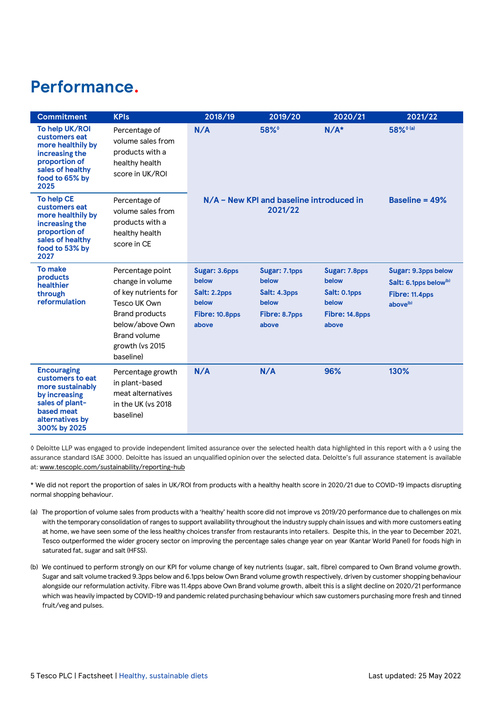### **Performance.**

| <b>Commitment</b>                                                                                                                               | <b>KPIs</b>                                                                                                                                                                      | 2018/19                                                                    | 2019/20                                                                   | 2020/21                                                                    | 2021/22                                                                                            |
|-------------------------------------------------------------------------------------------------------------------------------------------------|----------------------------------------------------------------------------------------------------------------------------------------------------------------------------------|----------------------------------------------------------------------------|---------------------------------------------------------------------------|----------------------------------------------------------------------------|----------------------------------------------------------------------------------------------------|
| To help UK/ROI<br>customers eat<br>more healthily by<br>increasing the<br>proportion of<br>sales of healthy<br>food to 65% by<br>2025           | Percentage of<br>volume sales from<br>products with a<br>healthy health<br>score in UK/ROI                                                                                       | N/A                                                                        | $58\%$                                                                    | $N/A*$                                                                     | 58% <sup>0(a)</sup>                                                                                |
| <b>To help CE</b><br>customers eat<br>more healthily by<br>increasing the<br>proportion of<br>sales of healthy<br>food to 53% by<br>2027        | Percentage of<br>volume sales from<br>products with a<br>healthy health<br>score in CE                                                                                           |                                                                            | N/A - New KPI and baseline introduced in<br>2021/22                       |                                                                            | Baseline = $49%$                                                                                   |
| To make<br>products<br>healthier<br>through<br>reformulation                                                                                    | Percentage point<br>change in volume<br>of key nutrients for<br>Tesco UK Own<br><b>Brand products</b><br>below/above Own<br><b>Brand volume</b><br>growth (vs 2015)<br>baseline) | Sugar: 3.6pps<br>below<br>Salt: 2.2pps<br>below<br>Fibre: 10.8pps<br>above | Sugar: 7.1pps<br>below<br>Salt: 4.3pps<br>below<br>Fibre: 8.7pps<br>above | Sugar: 7.8pps<br>below<br>Salt: 0.1pps<br>below<br>Fibre: 14.8pps<br>above | Sugar: 9.3pps below<br>Salt: 6.1pps below <sup>(b)</sup><br>Fibre: 11.4pps<br>above <sup>(b)</sup> |
| <b>Encouraging</b><br>customers to eat<br>more sustainably<br>by increasing<br>sales of plant-<br>based meat<br>alternatives by<br>300% by 2025 | Percentage growth<br>in plant-based<br>meat alternatives<br>in the UK (vs 2018<br>baseline)                                                                                      | N/A                                                                        | N/A                                                                       | 96%                                                                        | 130%                                                                                               |

◊ Deloitte LLP was engaged to provide independent limited assurance over the selected health data highlighted in this report with a ◊ using the assurance standard ISAE 3000. Deloitte has issued an unqualified opinion over the selected data. Deloitte's full assurance statement is available at: [www.tescoplc.com/sustainability/reporting-hub](http://www.tescoplc.com/sustainability/reporting-hub)

\* We did not report the proportion of sales in UK/ROI from products with a healthy health score in 2020/21 due to COVID-19 impacts disrupting normal shopping behaviour.

- (a) The proportion of volume sales from products with a 'healthy' health score did not improve vs 2019/20 performance due to challenges on mix with the temporary consolidation of ranges to support availability throughout the industry supply chain issues and with more customers eating at home, we have seen some of the less healthy choices transfer from restaurants into retailers. Despite this, in the year to December 2021, Tesco outperformed the wider grocery sector on improving the percentage sales change year on year (Kantar World Panel) for foods high in saturated fat, sugar and salt (HFSS).
- (b) We continued to perform strongly on our KPI for volume change of key nutrients (sugar, salt, fibre) compared to Own Brand volume growth. Sugar and salt volume tracked 9.3pps below and 6.1pps below Own Brand volume growth respectively, driven by customer shopping behaviour alongside our reformulation activity. Fibre was 11.4pps above Own Brand volume growth, albeit this is a slight decline on 2020/21 performance which was heavily impacted by COVID-19 and pandemic related purchasing behaviour which saw customers purchasing more fresh and tinned fruit/veg and pulses.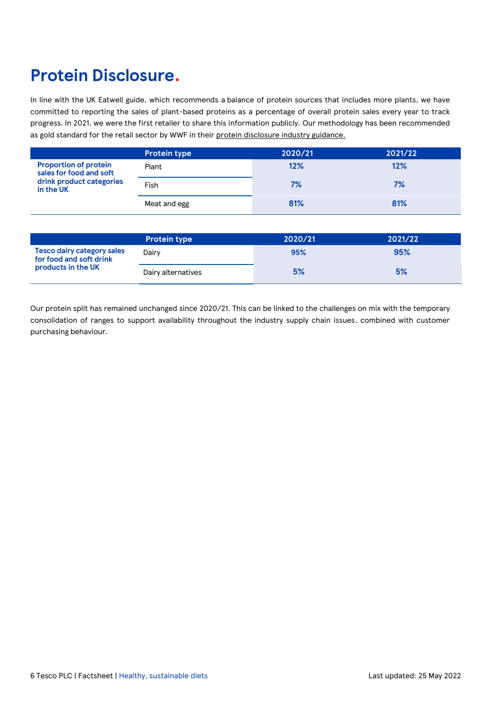### **Protein Disclosure.**

In line with the UK Eatwell guide, which recommends a balance of protein sources that includes more plants, we have committed to reporting the sales of plant-based proteins as a percentage of overall protein sales every year to track progress. In 2021, we were the first retailer to share this information publicly. Our methodology has been recommended as gold standard for the retail sector by WWF in their [protein disclosure industry guidance.](https://www.wwf.org.uk/sites/default/files/2022-03/Protein-Disclosure-Guide.pdf)

|                                                         | <b>Protein type</b> | 2020/21 | 2021/22 |
|---------------------------------------------------------|---------------------|---------|---------|
| <b>Proportion of protein</b><br>sales for food and soft | Plant               | 12%     | 12%     |
| drink product categories<br>in the UK                   | Fish                | 7%      | 7%      |
|                                                         | Meat and egg        | 81%     | 81%     |

|                                                              | <b>Protein type</b> | 2020/21 | 2021/22 |
|--------------------------------------------------------------|---------------------|---------|---------|
| <b>Tesco dairy category sales</b><br>for food and soft drink | Dairv               | 95%     | 95%     |
| products in the UK                                           | Dairy alternatives  | 5%      | 5%      |

Our protein split has remained unchanged since 2020/21. This can be linked to the challenges on mix with the temporary consolidation of ranges to support availability throughout the industry supply chain issues, combined with customer purchasing behaviour.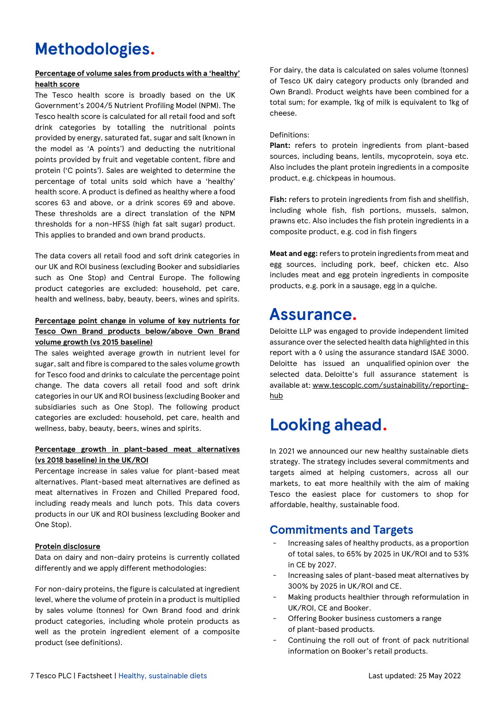### **Methodologies.**

### **Percentage of volume sales from products with a 'healthy' health score**

The Tesco health score is broadly based on the UK Government's 2004/5 Nutrient Profiling Model (NPM). The Tesco health score is calculated for all retail food and soft drink categories by totalling the nutritional points provided by energy, saturated fat, sugar and salt (known in the model as 'A points') and deducting the nutritional points provided by fruit and vegetable content, fibre and protein ('C points'). Sales are weighted to determine the percentage of total units sold which have a 'healthy' health score. A product is defined as healthy where a food scores 63 and above, or a drink scores 69 and above. These thresholds are a direct translation of the NPM thresholds for a non-HFSS (high fat salt sugar) product. This applies to branded and own brand products.

The data covers all retail food and soft drink categories in our UK and ROI business (excluding Booker and subsidiaries such as One Stop) and Central Europe. The following product categories are excluded: household, pet care, health and wellness, baby, beauty, beers, wines and spirits.

### **Percentage point change in volume of key nutrients for Tesco Own Brand products below/above Own Brand volume growth (vs 2015 baseline)**

The sales weighted average growth in nutrient level for sugar, salt and fibre is compared to the sales volume growth for Tesco food and drinks to calculate the percentage point change. The data covers all retail food and soft drink categories in our UK and ROI business (excluding Booker and subsidiaries such as One Stop). The following product categories are excluded: household, pet care, health and wellness, baby, beauty, beers, wines and spirits.

### **Percentage growth in plant-based meat alternatives (vs 2018 baseline) in the UK/ROI**

Percentage increase in sales value for plant-based meat alternatives. Plant-based meat alternatives are defined as meat alternatives in Frozen and Chilled Prepared food, including ready meals and lunch pots. This data covers products in our UK and ROI business (excluding Booker and One Stop).

### **Protein disclosure**

Data on dairy and non-dairy proteins is currently collated differently and we apply different methodologies:

For non-dairy proteins, the figure is calculated at ingredient level, where the volume of protein in a product is multiplied by sales volume (tonnes) for Own Brand food and drink product categories, including whole protein products as well as the protein ingredient element of a composite product (see definitions).

For dairy, the data is calculated on sales volume (tonnes) of Tesco UK dairy category products only (branded and Own Brand). Product weights have been combined for a total sum; for example, 1kg of milk is equivalent to 1kg of cheese.

### Definitions:

**Plant:** refers to protein ingredients from plant-based sources, including beans, lentils, mycoprotein, soya etc. Also includes the plant protein ingredients in a composite product, e.g. chickpeas in houmous.

**Fish:** refers to protein ingredients from fish and shellfish, including whole fish, fish portions, mussels, salmon, prawns etc. Also includes the fish protein ingredients in a composite product, e.g. cod in fish fingers

**Meat and egg:** refers to protein ingredients from meat and egg sources, including pork, beef, chicken etc. Also includes meat and egg protein ingredients in composite products, e.g. pork in a sausage, egg in a quiche.

### **Assurance.**

Deloitte LLP was engaged to provide independent limited assurance over the selected health data highlighted in this report with a ◊ using the assurance standard ISAE 3000. Deloitte has issued an unqualified opinion over the selected data. Deloitte's full assurance statement is available at: [www.tescoplc.com/sustainability/reporting](http://www.tescoplc.com/sustainability/reporting-hub)[hub](http://www.tescoplc.com/sustainability/reporting-hub)

### **Looking ahead.**

In 2021 we announced our new healthy sustainable diets strategy. The strategy includes several commitments and targets aimed at helping customers, across all our markets, to eat more healthily with the aim of making Tesco the easiest place for customers to shop for affordable, healthy, sustainable food.

### **Commitments and Targets**

- Increasing sales of healthy products, as a proportion of total sales, to 65% by 2025 in UK/ROI and to 53% in CE by 2027.
- Increasing sales of plant-based meat alternatives by 300% by 2025 in UK/ROI and CE.
- Making products healthier through reformulation in UK/ROI, CE and Booker.
- Offering Booker business customers a range of plant-based products.
- Continuing the roll out of front of pack nutritional information on Booker's retail products.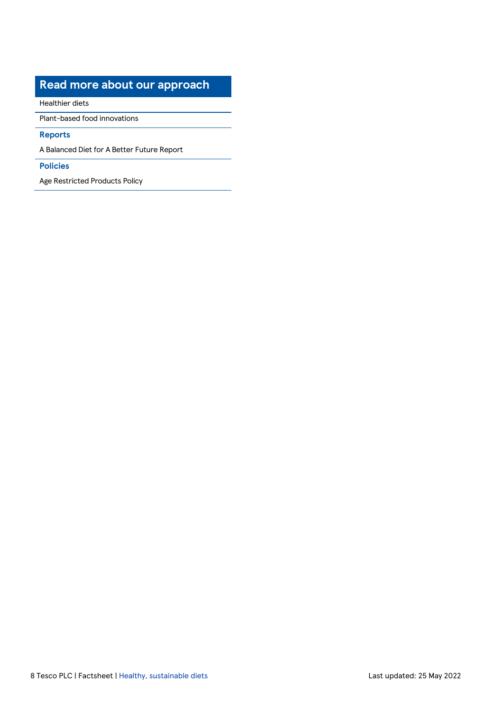### **Read more about our approach**

[Healthier diets](https://www.tescoplc.com/sustainability/planet/healthy-sustainable-diets/)

[Plant-based food innovations](https://www.tescoplc.com/sustainability/planet/healthy-sustainable-diets/)

### **Reports**

A Balanced Diet for A Better Future Report

### **Policies**

[Age Restricted Products Policy](https://www.tescoplc.com/sustainability/documents/policies/responsible-retailing-of-alcohol-tobacco/)